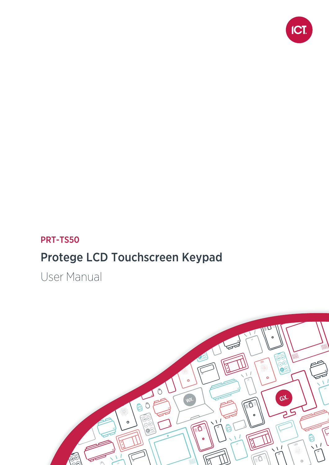

### PRT-TS50

## Protege LCD Touchscreen Keypad

User Manual

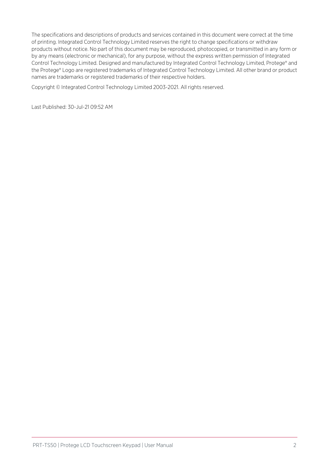The specifications and descriptions of products and services contained in this document were correct at the time of printing. Integrated Control Technology Limited reserves the right to change specifications or withdraw products without notice. No part of this document may be reproduced, photocopied, or transmitted in any form or by any means (electronic or mechanical), for any purpose, without the express written permission of Integrated Control Technology Limited. Designed and manufactured by Integrated Control Technology Limited, Protege® and the Protege® Logo are registered trademarks of Integrated Control Technology Limited. All other brand or product names are trademarks or registered trademarks of their respective holders.

Copyright © Integrated Control Technology Limited 2003-2021. All rights reserved.

Last Published: 30-Jul-21 09:52 AM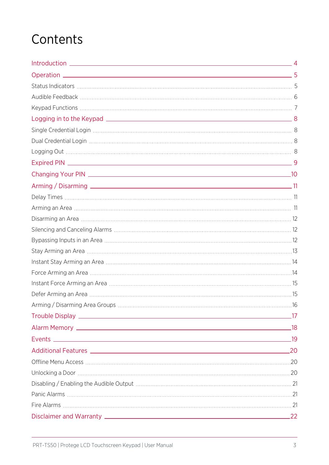# **Contents**

|                        | $-17$ |
|------------------------|-------|
|                        |       |
|                        |       |
| Additional Features 20 |       |
|                        |       |
|                        |       |
|                        |       |
|                        |       |
|                        |       |
|                        | .22   |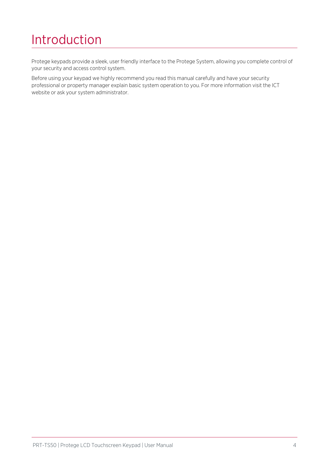# <span id="page-3-0"></span>Introduction

Protege keypads provide a sleek, user friendly interface to the Protege System, allowing you complete control of your security and access control system.

Before using your keypad we highly recommend you read this manual carefully and have your security professional or property manager explain basic system operation to you. For more information visit the ICT website or ask your system administrator.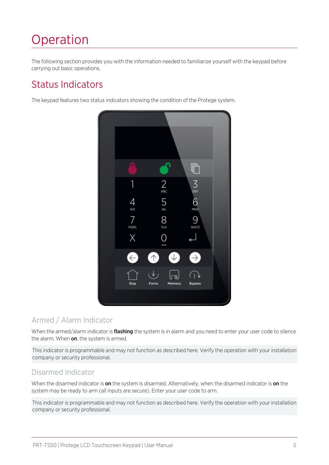# <span id="page-4-0"></span>Operation

<span id="page-4-1"></span>The following section provides you with the information needed to familiarize yourself with the keypad before carrying out basic operations.

## Status Indicators

The keypad features two status indicators showing the condition of the Protege system.



#### Armed / Alarm Indicator

When the armed/alarm indicator is **flashing** the system is in alarm and you need to enter your user code to silence the alarm. When on, the system is armed.

This indicator is programmable and may not function as described here. Verify the operation with your installation company or security professional.

#### Disarmed Indicator

When the disarmed indicator is on the system is disarmed. Alternatively, when the disarmed indicator is on the system may be ready to arm (all inputs are secure). Enter your user code to arm.

This indicator is programmable and may not function as described here. Verify the operation with your installation company or security professional.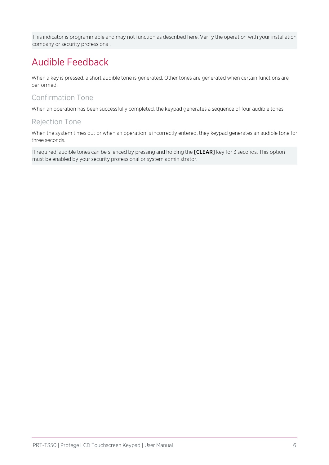<span id="page-5-0"></span>This indicator is programmable and may not function as described here. Verify the operation with your installation company or security professional.

## Audible Feedback

When a key is pressed, a short audible tone is generated. Other tones are generated when certain functions are performed.

#### Confirmation Tone

When an operation has been successfully completed, the keypad generates a sequence of four audible tones.

#### Rejection Tone

When the system times out or when an operation is incorrectly entered, they keypad generates an audible tone for three seconds.

If required, audible tones can be silenced by pressing and holding the [CLEAR] key for 3 seconds. This option must be enabled by your security professional or system administrator.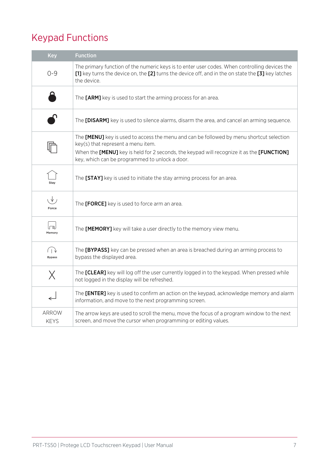## <span id="page-6-0"></span>Keypad Functions

| <b>Key</b>            | <b>Function</b>                                                                                                                                                                                                                                                               |
|-----------------------|-------------------------------------------------------------------------------------------------------------------------------------------------------------------------------------------------------------------------------------------------------------------------------|
| $O - 9$               | The primary function of the numeric keys is to enter user codes. When controlling devices the<br>[1] key turns the device on, the [2] turns the device off, and in the on state the [3] key latches<br>the device.                                                            |
|                       | The [ARM] key is used to start the arming process for an area.                                                                                                                                                                                                                |
|                       | The <b>[DISARM]</b> key is used to silence alarms, disarm the area, and cancel an arming sequence.                                                                                                                                                                            |
|                       | The [MENU] key is used to access the menu and can be followed by menu shortcut selection<br>key(s) that represent a menu item.<br>When the [MENU] key is held for 2 seconds, the keypad will recognize it as the [FUNCTION]<br>key, which can be programmed to unlock a door. |
| Stav                  | The [STAY] key is used to initiate the stay arming process for an area.                                                                                                                                                                                                       |
| ιV,<br>Force          | The [FORCE] key is used to force arm an area.                                                                                                                                                                                                                                 |
| لھا<br>Memory         | The [MEMORY] key will take a user directly to the memory view menu.                                                                                                                                                                                                           |
| (⊺ ১<br><b>Bypass</b> | The [BYPASS] key can be pressed when an area is breached during an arming process to<br>bypass the displayed area.                                                                                                                                                            |
| $\times$              | The [CLEAR] key will log off the user currently logged in to the keypad. When pressed while<br>not logged in the display will be refreshed.                                                                                                                                   |
|                       | The [ENTER] key is used to confirm an action on the keypad, acknowledge memory and alarm<br>information, and move to the next programming screen.                                                                                                                             |
| ARROW<br><b>KEYS</b>  | The arrow keys are used to scroll the menu, move the focus of a program window to the next<br>screen, and move the cursor when programming or editing values.                                                                                                                 |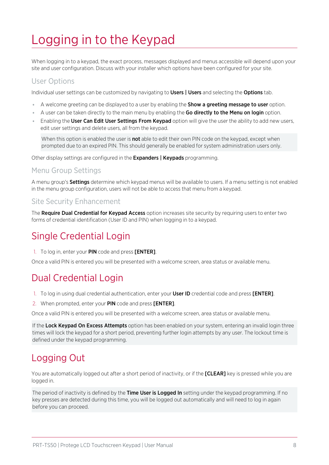# <span id="page-7-0"></span>Logging in to the Keypad

When logging in to a keypad, the exact process, messages displayed and menus accessible will depend upon your site and user configuration. Discuss with your installer which options have been configured for your site.

#### User Options

Individual user settings can be customized by navigating to Users | Users and selecting the Options tab.

- A welcome greeting can be displayed to a user by enabling the **Show a greeting message to user** option.
- A user can be taken directly to the main menu by enabling the Go directly to the Menu on login option.
- Enabling the User Can Edit User Settings From Keypad option will give the user the ability to add new users, edit user settings and delete users, all from the keypad.

When this option is enabled the user is **not** able to edit their own PIN code on the keypad, except when prompted due to an expired PIN. This should generally be enabled for system administration users only.

Other display settings are configured in the **Expanders | Keypads** programming.

#### Menu Group Settings

A menu group's **Settings** determine which keypad menus will be available to users. If a menu setting is not enabled in the menu group configuration, users will not be able to access that menu from a keypad.

#### Site Security Enhancement

<span id="page-7-1"></span>The Require Dual Credential for Keypad Access option increases site security by requiring users to enter two forms of credential identification (User ID and PIN) when logging in to a keypad.

### Single Credential Login

1. To log in, enter your PIN code and press [ENTER].

<span id="page-7-2"></span>Once a valid PIN is entered you will be presented with a welcome screen, area status or available menu.

### Dual Credential Login

- 1. To log in using dual credential authentication, enter your User ID credential code and press [ENTER].
- 2. When prompted, enter your PIN code and press [ENTER].

Once a valid PIN is entered you will be presented with a welcome screen, area status or available menu.

If the Lock Keypad On Excess Attempts option has been enabled on your system, entering an invalid login three times will lock the keypad for a short period, preventing further login attempts by any user. The lockout time is defined under the keypad programming.

### <span id="page-7-3"></span>Logging Out

You are automatically logged out after a short period of inactivity, or if the **[CLEAR]** key is pressed while you are logged in.

The period of inactivity is defined by the Time User is Logged In setting under the keypad programming. If no key presses are detected during this time, you will be logged out automatically and will need to log in again before you can proceed.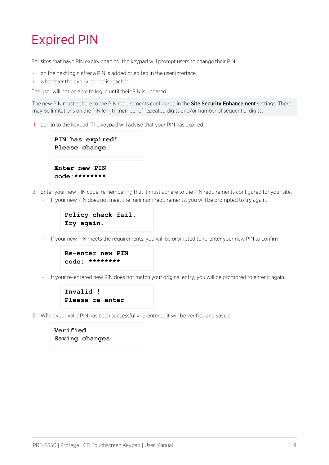# <span id="page-8-0"></span>Expired PIN

For sites that have PIN expiry enabled, the keypad will prompt users to change their PIN:

- ⦁ on the next login after a PIN is added or edited in the user interface.
- ⦁ whenever the expiry period is reached.

The user will not be able to log in until their PIN is updated.

The new PIN must adhere to the PIN requirements configured in the **Site Security Enhancement** settings. There may be limitations on the PIN length, number of repeated digits and/or number of sequential digits.

1. Log in to the keypad. The keypad will advise that your PIN has expired.

```
PIN has expired!
Please change.
Enter new PIN
code:********
```
- 2. Enter your new PIN code, remembering that it must adhere to the PIN requirements configured for your site.
	- If your new PIN does not meet the minimum requirements, you will be prompted to try again.

```
Policy check fail.
Try again.
```
If your new PIN meets the requirements, you will be prompted to re-enter your new PIN to confirm.

```
Re-enter new PIN
code: ********
```
If your re-entered new PIN does not match your original entry, you will be prompted to enter it again.

```
Invalid !
Please re-enter
```
3. When your valid PIN has been successfully re-entered it will be verified and saved.

```
Verified
Saving changes.
```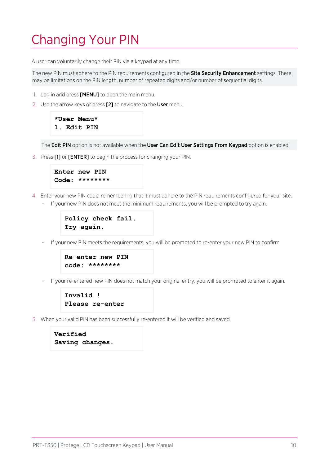# <span id="page-9-0"></span>Changing Your PIN

A user can voluntarily change their PIN via a keypad at any time.

The new PIN must adhere to the PIN requirements configured in the Site Security Enhancement settings. There may be limitations on the PIN length, number of repeated digits and/or number of sequential digits.

- 1. Log in and press **[MENU]** to open the main menu.
- 2. Use the arrow keys or press [2] to navigate to the User menu.

```
*User Menu*
1. Edit PIN
```
The Edit PIN option is not available when the User Can Edit User Settings From Keypad option is enabled.

3. Press [1] or [ENTER] to begin the process for changing your PIN.

```
Enter new PIN
Code: ********
```
- 4. Enter your new PIN code, remembering that it must adhere to the PIN requirements configured for your site.
	- If your new PIN does not meet the minimum requirements, you will be prompted to try again.

```
Policy check fail.
Try again.
```
- If your new PIN meets the requirements, you will be prompted to re-enter your new PIN to confirm.

```
Re-enter new PIN
code: ********
```
If your re-entered new PIN does not match your original entry, you will be prompted to enter it again.

```
Invalid !
Please re-enter
```
5. When your valid PIN has been successfully re-entered it will be verified and saved.

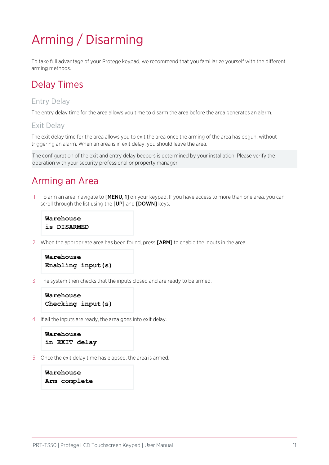# <span id="page-10-0"></span>Arming / Disarming

<span id="page-10-1"></span>To take full advantage of your Protege keypad, we recommend that you familiarize yourself with the different arming methods.

### Delay Times

#### Entry Delay

The entry delay time for the area allows you time to disarm the area before the area generates an alarm.

#### Exit Delay

The exit delay time for the area allows you to exit the area once the arming of the area has begun, without triggering an alarm. When an area is in exit delay, you should leave the area.

<span id="page-10-2"></span>The configuration of the exit and entry delay beepers is determined by your installation. Please verify the operation with your security professional or property manager.

### Arming an Area

1. To arm an area, navigate to **[MENU, 1]** on your keypad. If you have access to more than one area, you can scroll through the list using the [UP] and [DOWN] keys.

```
Warehouse
is DISARMED
```
2. When the appropriate area has been found, press [ARM] to enable the inputs in the area.

```
Warehouse
Enabling input(s)
```
3. The system then checks that the inputs closed and are ready to be armed.

```
Warehouse
Checking input(s)
```
4. If all the inputs are ready, the area goes into exit delay.

```
Warehouse
in EXIT delay
```
5. Once the exit delay time has elapsed, the area is armed.

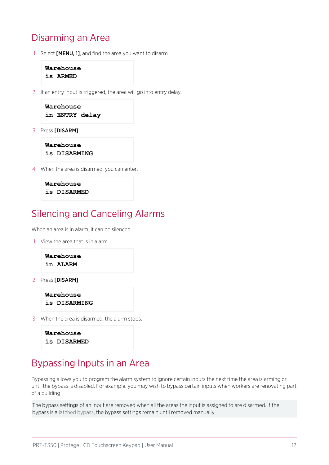### <span id="page-11-0"></span>Disarming an Area

1. Select [MENU, 1], and find the area you want to disarm.

```
Warehouse
is ARMED
```
2. If an entry input is triggered, the area will go into entry delay.

```
Warehouse
in ENTRY delay
```
3. Press [DISARM].

```
Warehouse
is DISARMING
```
4. When the area is disarmed, you can enter.

```
Warehouse
is DISARMED
```
#### <span id="page-11-1"></span>Silencing and Canceling Alarms

When an area is in alarm, it can be silenced.

1. View the area that is in alarm.



2. Press [DISARM].

```
Warehouse
is DISARMING
```
3. When the area is disarmed, the alarm stops.

```
Warehouse
is DISARMED
```
#### <span id="page-11-2"></span>Bypassing Inputs in an Area

Bypassing allows you to program the alarm system to ignore certain inputs the next time the area is arming or until the bypass is disabled. For example, you may wish to bypass certain inputs when workers are renovating part of a building

The bypass settings of an input are removed when all the areas the input is assigned to are disarmed. If the bypass is a latched bypass, the bypass settings remain until removed manually.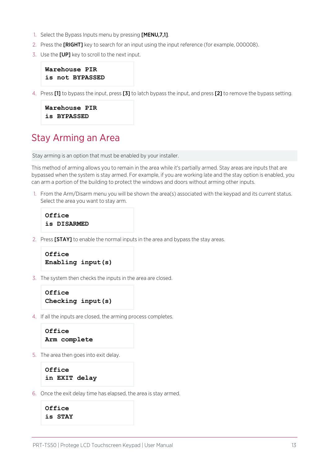- 1. Select the Bypass Inputs menu by pressing [MENU,7,1].
- 2. Press the **[RIGHT]** key to search for an input using the input reference (for example, 000008).
- 3. Use the [UP] key to scroll to the next input.

```
Warehouse PIR
is not BYPASSED
```
4. Press [1] to bypass the input, press [3] to latch bypass the input, and press [2] to remove the bypass setting.

```
Warehouse PIR
is BYPASSED
```
#### <span id="page-12-0"></span>Stay Arming an Area

Stay arming is an option that must be enabled by your installer.

This method of arming allows you to remain in the area while it's partially armed. Stay areas are inputs that are bypassed when the system is stay armed. For example, if you are working late and the stay option is enabled, you can arm a portion of the building to protect the windows and doors without arming other inputs.

1. From the Arm/Disarm menu you will be shown the area(s) associated with the keypad and its current status. Select the area you want to stay arm.

```
Office
is DISARMED
```
2. Press [STAY] to enable the normal inputs in the area and bypass the stay areas.

```
Office
Enabling input(s)
```
3. The system then checks the inputs in the area are closed.

```
Office
Checking input(s)
```
4. If all the inputs are closed, the arming process completes.

```
Office
Arm complete
```
5. The area then goes into exit delay.

```
Office
in EXIT delay
```
6. Once the exit delay time has elapsed, the area is stay armed.

```
Office
is STAY
```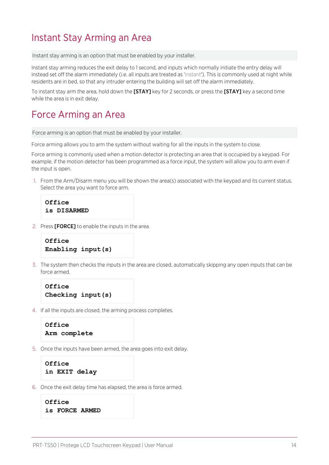### <span id="page-13-0"></span>Instant Stay Arming an Area

Instant stay arming is an option that must be enabled by your installer.

Instant stay arming reduces the exit delay to 1 second, and inputs which normally initiate the entry delay will instead set off the alarm immediately (i.e. all inputs are treated as 'instant'). This is commonly used at night while residents are in bed, so that any intruder entering the building will set off the alarm immediately.

<span id="page-13-1"></span>To instant stay arm the area, hold down the [STAY] key for 2 seconds, or press the [STAY] key a second time while the area is in exit delay.

### Force Arming an Area

Force arming is an option that must be enabled by your installer.

Force arming allows you to arm the system without waiting for all the inputs in the system to close.

Force arming is commonly used when a motion detector is protecting an area that is occupied by a keypad. For example, if the motion detector has been programmed as a force input, the system will allow you to arm even if the input is open.

1. From the Arm/Disarm menu you will be shown the area(s) associated with the keypad and its current status. Select the area you want to force arm.

**Office is DISARMED**

2. Press [FORCE] to enable the inputs in the area.

```
Office
Enabling input(s)
```
3. The system then checks the inputs in the area are closed, automatically skipping any open inputs that can be force armed.

```
Office
Checking input(s)
```
4. If all the inputs are closed, the arming process completes.

```
Office
Arm complete
```
5. Once the inputs have been armed, the area goes into exit delay.

```
Office
in EXIT delay
```
6. Once the exit delay time has elapsed, the area is force armed.

```
Office
is FORCE ARMED
```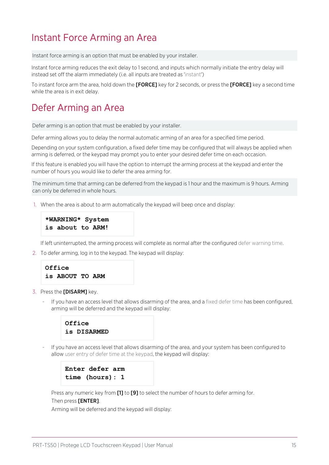### <span id="page-14-0"></span>Instant Force Arming an Area

Instant force arming is an option that must be enabled by your installer.

Instant force arming reduces the exit delay to 1 second, and inputs which normally initiate the entry delay will instead set off the alarm immediately (i.e. all inputs are treated as 'instant')

<span id="page-14-1"></span>To instant force arm the area, hold down the **[FORCE]** key for 2 seconds, or press the **[FORCE]** key a second time while the area is in exit delay.

### Defer Arming an Area

Defer arming is an option that must be enabled by your installer.

Defer arming allows you to delay the normal automatic arming of an area for a specified time period.

Depending on your system configuration, a fixed defer time may be configured that will always be applied when arming is deferred, or the keypad may prompt you to enter your desired defer time on each occasion.

If this feature is enabled you will have the option to interrupt the arming process at the keypad and enter the number of hours you would like to defer the area arming for.

The minimum time that arming can be deferred from the keypad is 1 hour and the maximum is 9 hours. Arming can only be deferred in whole hours.

1. When the area is about to arm automatically the keypad will beep once and display:

```
*WARNING* System
is about to ARM!
```
If left uninterrupted, the arming process will complete as normal after the configured defer warning time.

2. To defer arming, log in to the keypad. The keypad will display:



- 3. Press the [DISARM] key.
	- If you have an access level that allows disarming of the area, and a fixed defer time has been configured, arming will be deferred and the keypad will display:



If you have an access level that allows disarming of the area, and your system has been configured to allow user entry of defer time at the keypad, the keypad will display:

```
Enter defer arm
time (hours): 1
```
Press any numeric key from [1] to [9] to select the number of hours to defer arming for.

#### Then press [ENTER].

Arming will be deferred and the keypad will display: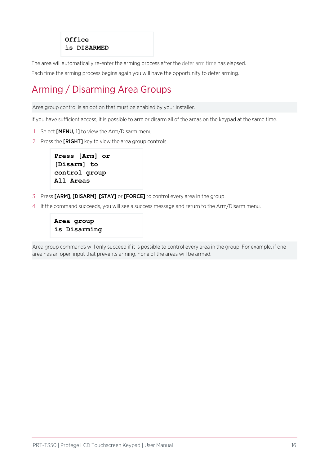#### **Office is DISARMED**

The area will automatically re-enter the arming process after the defer arm time has elapsed.

<span id="page-15-0"></span>Each time the arming process begins again you will have the opportunity to defer arming.

## Arming / Disarming Area Groups

Area group control is an option that must be enabled by your installer.

If you have sufficient access, it is possible to arm or disarm all of the areas on the keypad at the same time.

- 1. Select **[MENU, 1]** to view the Arm/Disarm menu.
- 2. Press the [RIGHT] key to view the area group controls.

```
Press [Arm] or
[Disarm] to
control group
All Areas
```
- 3. Press [ARM], [DISARM], [STAY] or [FORCE] to control every area in the group.
- 4. If the command succeeds, you will see a success message and return to the Arm/Disarm menu.

```
Area group
is Disarming
```
Area group commands will only succeed if it is possible to control every area in the group. For example, if one area has an open input that prevents arming, none of the areas will be armed.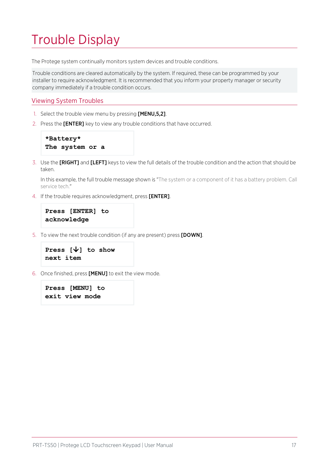# <span id="page-16-0"></span>Trouble Display

The Protege system continually monitors system devices and trouble conditions.

Trouble conditions are cleared automatically by the system. If required, these can be programmed by your installer to require acknowledgment. It is recommended that you inform your property manager or security company immediately if a trouble condition occurs.

#### Viewing System Troubles

- 1. Select the trouble view menu by pressing [MENU,5,2].
- 2. Press the [ENTER] key to view any trouble conditions that have occurred.

```
*Battery*
The system or a
```
3. Use the [RIGHT] and [LEFT] keys to view the full details of the trouble condition and the action that should be taken.

In this example, the full trouble message shown is "The system or a component of it has a battery problem. Call service tech."

4. If the trouble requires acknowledgment, press [ENTER].

```
Press [ENTER] to
acknowledge
```
5. To view the next trouble condition (if any are present) press [DOWN].

```
Press [â] to show
next item
```
6. Once finished, press [MENU] to exit the view mode.

```
Press [MENU] to
exit view mode
```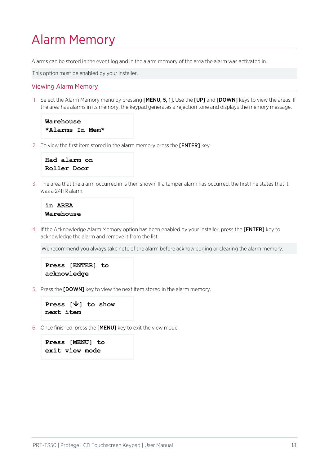# <span id="page-17-0"></span>Alarm Memory

Alarms can be stored in the event log and in the alarm memory of the area the alarm was activated in.

This option must be enabled by your installer.

#### Viewing Alarm Memory

1. Select the Alarm Memory menu by pressing [MENU, 5, 1]. Use the [UP] and [DOWN] keys to view the areas. If the area has alarms in its memory, the keypad generates a rejection tone and displays the memory message.

```
Warehouse
*Alarms In Mem*
```
2. To view the first item stored in the alarm memory press the **[ENTER]** key.

```
Had alarm on
Roller Door
```
3. The area that the alarm occurred in is then shown. If a tamper alarm has occurred, the first line states that it was a 24HR alarm.

```
in AREA
Warehouse
```
4. If the Acknowledge Alarm Memory option has been enabled by your installer, press the [ENTER] key to acknowledge the alarm and remove it from the list.

We recommend you always take note of the alarm before acknowledging or clearing the alarm memory.

```
Press [ENTER] to
acknowledge
```
5. Press the [DOWN] key to view the next item stored in the alarm memory.

```
Press [â] to show
next item
```
6. Once finished, press the [MENU] key to exit the view mode.

```
Press [MENU] to
exit view mode
```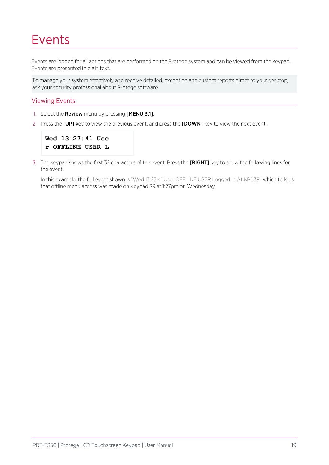# <span id="page-18-0"></span>Events

Events are logged for all actions that are performed on the Protege system and can be viewed from the keypad. Events are presented in plain text.

To manage your system effectively and receive detailed, exception and custom reports direct to your desktop, ask your security professional about Protege software.

#### Viewing Events

- 1. Select the Review menu by pressing [MENU,3,1].
- 2. Press the [UP] key to view the previous event, and press the [DOWN] key to view the next event.

```
Wed 13:27:41 Use
r OFFLINE USER L
```
3. The keypad shows the first 32 characters of the event. Press the [RIGHT] key to show the following lines for the event.

In this example, the full event shown is "Wed 13:27:41 User OFFLINE USER Logged In At KP039" which tells us that offline menu access was made on Keypad 39 at 1:27pm on Wednesday.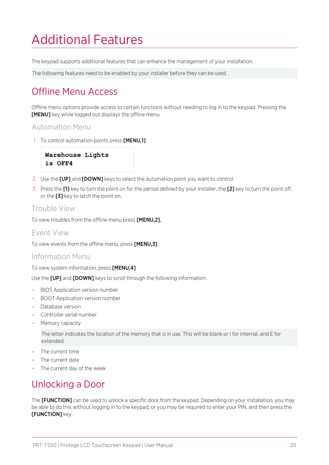# <span id="page-19-0"></span>Additional Features

The keypad supports additional features that can enhance the management of your installation.

<span id="page-19-1"></span>The following features need to be enabled by your installer before they can be used.

## Offline Menu Access

Offline menu options provide access to certain functions without needing to log in to the keypad. Pressing the **[MENU]** key while logged out displays the offline menu.

#### Automation Menu

1. To control automation points press [MENU,1].

```
Warehouse Lights
is OFF4
```
- 2. Use the [UP] and [DOWN] keys to select the automation point you want to control.
- 3. Press the [1] key to turn the point on for the period defined by your installer, the [2] key to turn the point off, or the [3] key to latch the point on.

#### Trouble View

To view troubles from the offline menu press [MENU,2].

#### Event View

To view events from the offline menu, press [MENU,3].

#### Information Menu

To view system information, press [MENU,4].

Use the [UP] and [DOWN] keys to scroll through the following information:

- ⦁ BIOS Application version number
- ⦁ BOOT Application version number
- ⦁ Database version
- ⦁ Controller serial number
- ⦁ Memory capacity

The letter indicates the location of the memory that is in use. This will be blank or I for internal, and E for extended.

- ⦁ The current time
- ⦁ The current date
- <span id="page-19-2"></span>⦁ The current day of the week

## Unlocking a Door

The **[FUNCTION]** can be used to unlock a specific door from the keypad. Depending on your installation, you may be able to do this without logging in to the keypad, or you may be required to enter your PIN, and then press the **[FUNCTION]** key.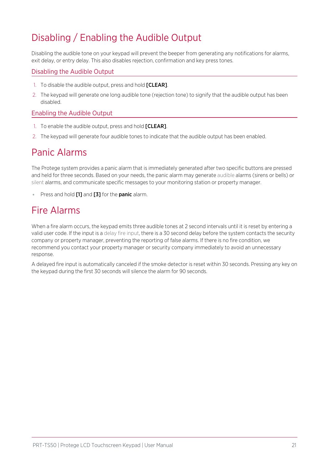## <span id="page-20-0"></span>Disabling / Enabling the Audible Output

Disabling the audible tone on your keypad will prevent the beeper from generating any notifications for alarms, exit delay, or entry delay. This also disables rejection, confirmation and key press tones.

#### Disabling the Audible Output

- 1. To disable the audible output, press and hold **[CLEAR]**.
- 2. The keypad will generate one long audible tone (rejection tone) to signify that the audible output has been disabled.

#### Enabling the Audible Output

- 1. To enable the audible output, press and hold [CLEAR].
- <span id="page-20-1"></span>2. The keypad will generate four audible tones to indicate that the audible output has been enabled.

### Panic Alarms

The Protege system provides a panic alarm that is immediately generated after two specific buttons are pressed and held for three seconds. Based on your needs, the panic alarm may generate audible alarms (sirens or bells) or silent alarms, and communicate specific messages to your monitoring station or property manager.

<span id="page-20-2"></span>■ Press and hold [1] and [3] for the panic alarm.

### Fire Alarms

When a fire alarm occurs, the keypad emits three audible tones at 2 second intervals until it is reset by entering a valid user code. If the input is a delay fire input, there is a 30 second delay before the system contacts the security company or property manager, preventing the reporting of false alarms. If there is no fire condition, we recommend you contact your property manager or security company immediately to avoid an unnecessary response.

A delayed fire input is automatically canceled if the smoke detector is reset within 30 seconds. Pressing any key on the keypad during the first 30 seconds will silence the alarm for 90 seconds.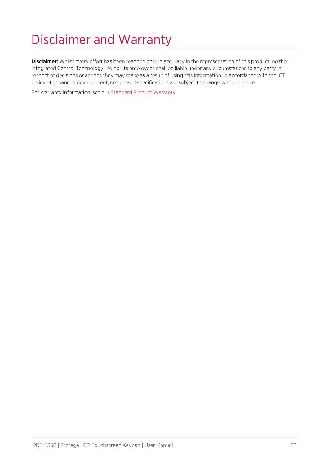# <span id="page-21-0"></span>Disclaimer and Warranty

Disclaimer: Whilst every effort has been made to ensure accuracy in the representation of this product, neither Integrated Control Technology Ltd nor its employees shall be liable under any circumstances to any party in respect of decisions or actions they may make as a result of using this information. In accordance with the ICT policy of enhanced development, design and specifications are subject to change without notice.

For warranty information, see our Standard Product [Warranty.](https://www.ict.co/Standard-Product-Warranty)